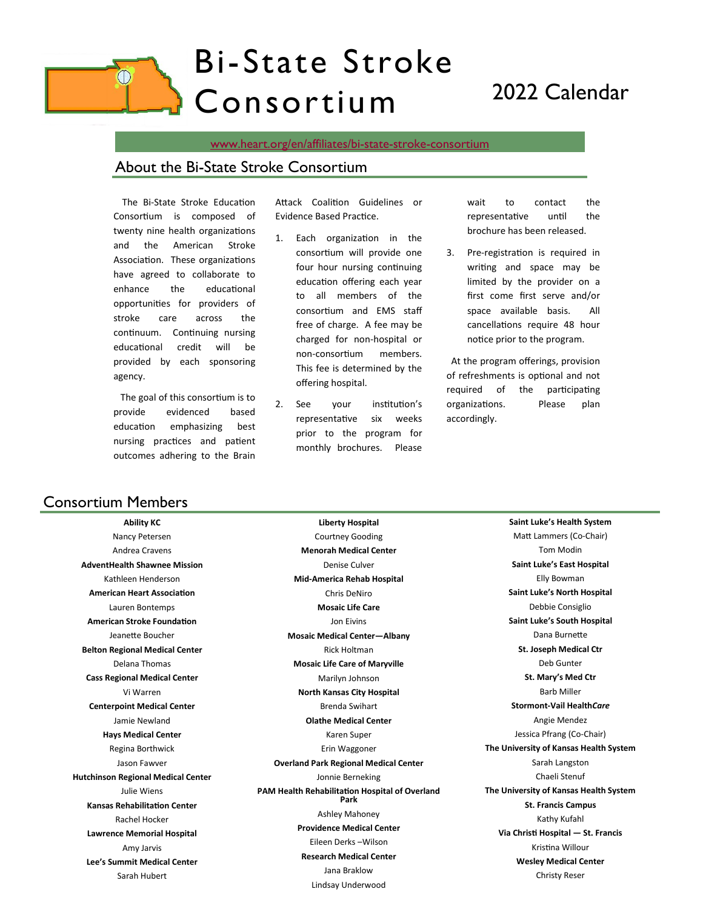# Bi-State Stroke Consortium 2022 Calendar

[www.heart.org/en/affiliates/bi-state-stroke-consortium](http://www.heart.org/en/affiliates/bi-state-stroke-consortium)

#### About the Bi-State Stroke Consortium

 The Bi-State Stroke Education Consortium is composed of twenty nine health organizations and the American Stroke Association. These organizations have agreed to collaborate to enhance the educational opportunities for providers of stroke care across the continuum. Continuing nursing educational credit will be provided by each sponsoring agency.

 The goal of this consortium is to provide evidenced based education emphasizing best nursing practices and patient outcomes adhering to the Brain

Attack Coalition Guidelines or Evidence Based Practice.

- 1. Each organization in the consortium will provide one four hour nursing continuing education offering each year to all members of the consortium and EMS staff free of charge. A fee may be charged for non-hospital or non-consortium members. This fee is determined by the offering hospital.
- 2. See your institution's representative six weeks prior to the program for monthly brochures. Please

wait to contact the representative until the brochure has been released.

3. Pre-registration is required in writing and space may be limited by the provider on a first come first serve and/or space available basis. All cancellations require 48 hour notice prior to the program.

 At the program offerings, provision of refreshments is optional and not required of the participating organizations. Please plan accordingly.

### Consortium Members

**Ability KC** Nancy Petersen Andrea Cravens **AdventHealth Shawnee Mission** Kathleen Henderson **American Heart Association** Lauren Bontemps **American Stroke Foundation** Jeanette Boucher **Belton Regional Medical Center** Delana Thomas **Cass Regional Medical Center** Vi Warren **Centerpoint Medical Center** Jamie Newland **Hays Medical Center** Regina Borthwick Jason Fawver **Hutchinson Regional Medical Center** Julie Wiens **Kansas Rehabilitation Center** Rachel Hocker **Lawrence Memorial Hospital** Amy Jarvis **Lee's Summit Medical Center** Sarah Hubert

**Liberty Hospital** Courtney Gooding **Menorah Medical Center** Denise Culver **Mid-America Rehab Hospital** Chris DeNiro **Mosaic Life Care** Jon Eivins **Mosaic Medical Center—Albany** Rick Holtman **Mosaic Life Care of Maryville** Marilyn Johnson **North Kansas City Hospital** Brenda Swihart **Olathe Medical Center** Karen Super Erin Waggoner **Overland Park Regional Medical Center** Jonnie Berneking **PAM Health Rehabilitation Hospital of Overland Park** Ashley Mahoney **Providence Medical Center** Eileen Derks –Wilson **Research Medical Center** Jana Braklow Lindsay Underwood

**Saint Luke's Health System** Matt Lammers (Co-Chair) Tom Modin **Saint Luke's East Hospital** Elly Bowman **Saint Luke's North Hospital** Debbie Consiglio **Saint Luke's South Hospital** Dana Burnette **St. Joseph Medical Ctr** Deb Gunter **St. Mary's Med Ctr** Barb Miller **Stormont-Vail Health***Care* Angie Mendez Jessica Pfrang (Co-Chair) **The University of Kansas Health System** Sarah Langston Chaeli Stenuf **The University of Kansas Health System St. Francis Campus** Kathy Kufahl **Via Christi Hospital — St. Francis**  Kristina Willour **Wesley Medical Center** Christy Reser